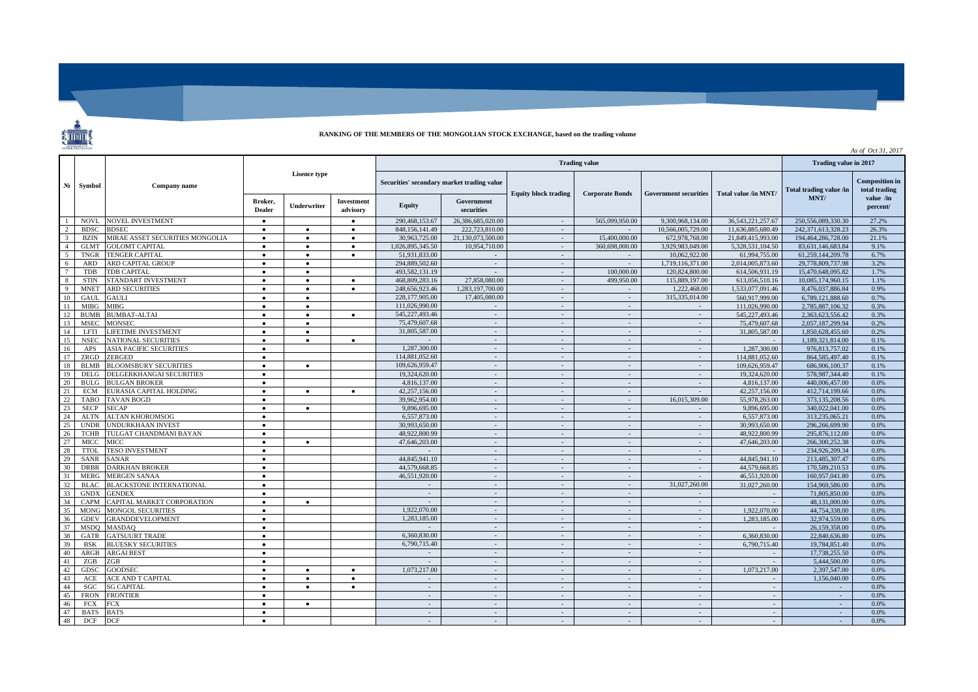## **RANKING OF THE MEMBERS OF THE MONGOLIAN STOCK EXCHANGE, based on the trading volume**

| <b>STOCK EXCHANGE</b><br>As of Oct 31, 2017 |                            |                                      |                        |                        |                                            |                                 |                             |                        |                              |                             |                                 |                                                     |              |
|---------------------------------------------|----------------------------|--------------------------------------|------------------------|------------------------|--------------------------------------------|---------------------------------|-----------------------------|------------------------|------------------------------|-----------------------------|---------------------------------|-----------------------------------------------------|--------------|
|                                             | Symbol                     | Company name                         |                        |                        |                                            |                                 | Trading value in 2017       |                        |                              |                             |                                 |                                                     |              |
| $N_2$                                       |                            |                                      | <b>Lisence type</b>    |                        | Securities' secondary market trading value |                                 | <b>Equity block trading</b> | <b>Corporate Bonds</b> | <b>Government securities</b> | Total value /in MNT/        | Total trading value /in<br>MNT/ | <b>Composition in</b><br>total trading<br>value /in |              |
|                                             |                            |                                      | Broker.<br>Dealer      | <b>Underwriter</b>     | Investment<br>advisory                     | Equity                          | Government<br>securities    |                        |                              |                             |                                 |                                                     | percent/     |
| $\overline{1}$                              | <b>NOVL</b>                | <b>NOVEL INVESTMENT</b>              | $\bullet$              |                        | $\bullet$                                  | 290,468,153.67                  | 26,386,685,020.00           | $\sim$                 | 565,099,950.00               | 9.300.968.134.00            | 36.543.221.257.67               | 250,556,089,330,30                                  | 27.2%        |
| $\overline{2}$                              | <b>BDSC</b>                | <b>BDSEC</b>                         | $\bullet$              | $\bullet$              | $\bullet$                                  | 848, 156, 141, 49               | 222,723,810.00              | $\sim$                 |                              | 10.566,005,729.00           | 11.636.885.680.49               | 242.371.613.328.23                                  | 26.3%        |
| $\mathcal{R}$                               | <b>BZIN</b>                | MIRAE ASSET SECURITIES MONGOLIA      | $\bullet$              | $\bullet$              | $\bullet$                                  | 30,963,725,00                   | 21.130.073.500.00           | $\sim$                 | 15,400,000.00                | 672,978,768.00              | 21.849.415.993.00               | 194,464,286,728.00                                  | 21.1%        |
| $\overline{4}$                              | <b>GLMT</b>                | <b>GOLOMT CAPITAL</b>                | $\bullet$              | $\bullet$              | $\bullet$                                  | 1.026.895.345.50                | 10.954.710.00               | $\sim$                 | 360,698,000.00               | 3.929.983.049.00            | 5.328.531.104.50                | 83,631,146,683.84                                   | 9.1%         |
| 5                                           | <b>TNGR</b>                | <b>TENGER CAPITAL</b>                | $\bullet$              | $\bullet$              |                                            | 51.931.833.00                   |                             | $\sim$                 |                              | 10,062,922.00               | 61,994,755.00                   | 61,259,144,209.78                                   | 6.7%         |
| 6                                           | <b>ARD</b>                 | ARD CAPITAL GROUP                    | $\bullet$              | $\bullet$              |                                            | 294,889,502.60                  | $\sim$                      | $\sim$                 | $\sim$                       | 1,719,116,371.00            | 2,014,005,873.60                | 29,778,809,737.98                                   | 3.2%         |
|                                             | TDB                        | <b>TDB CAPITAL</b>                   | $\bullet$              | $\bullet$              |                                            | 493.582.131.19                  |                             | $\sim$                 | 100,000,00                   | 120,824,800.00              | 614.506.931.19                  | 15.470.648.095.82                                   | 1.7%         |
| 8                                           | <b>STIN</b>                | STANDART INVESTMENT                  | $\bullet$              | $\bullet$              | $\bullet$                                  | 468,809,283.16                  | 27,858,080,00               | $\sim$                 | 499,950.00                   | 115,889,197,00              | 613,056,510.16                  | 10.085.174.960.15                                   | 1.1%         |
| Q                                           | <b>MNET</b>                | <b>ARD SECURITIES</b>                | $\bullet$              | $\bullet$              | $\bullet$                                  | 248,656,923.46                  | 1.283.197.700.00            | $\sim$                 |                              | 1.222,468.00                | 1.533.077.091.46                | 8.476.037.886.84                                    | 0.9%         |
| 10                                          | GAUL                       | <b>GAULI</b>                         | $\bullet$              | $\bullet$              |                                            | 228,177,905.00                  | 17,405,080,00               | $\sim$                 | $\sim$                       | 315.335.014.00              | 560.917.999.00                  | 6,789,121,888.60                                    | 0.7%         |
| 11                                          | <b>MIBG</b>                | <b>MIBG</b>                          | $\bullet$              | $\bullet$              |                                            | 111,026,990.00                  | $\sim$                      | $\sim$<br>$\sim$       | $\sim$                       | $\sim$                      | 111,026,990.00                  | 2,785,887,106.32                                    | 0.3%         |
| 12<br>13                                    | <b>BUMB</b><br><b>MSEC</b> | <b>BUMBAT-ALTAI</b><br><b>MONSEC</b> | $\bullet$              | $\bullet$              | $\bullet$                                  | 545,227,493.46<br>75,479,607.68 |                             |                        | $\sim$                       |                             | 545,227,493.46<br>75,479,607.68 | 2,363,623,556.42<br>2,057,187,299.94                | 0.3%<br>0.2% |
| 14                                          | LFTI                       | <b>LIFETIME INVESTMENT</b>           | $\bullet$<br>$\bullet$ | $\bullet$<br>$\bullet$ |                                            | 31,805,587.00                   | $\sim$<br>$\sim$            | $\sim$<br>$\sim$       | $\sim$<br>$\sim$             | $\sim$<br>$\sim$            | 31,805,587.00                   | 1,850,628,455,60                                    | 0.2%         |
| 15                                          | <b>NSEC</b>                | <b>NATIONAL SECURITIES</b>           | $\bullet$              | $\bullet$              | $\bullet$                                  |                                 | $\sim$                      | $\sim$                 | $\sim$                       | $\sim$                      |                                 | 1.189.321.814.00                                    | 0.1%         |
| 16                                          | APS                        | <b>ASIA PACIFIC SECURITIES</b>       | $\bullet$              |                        |                                            | 1.287,300.00                    | $\sim$                      | $\sim$                 | $\sim$                       | $\sim$                      | 1.287.300.00                    | 976.813.757.02                                      | 0.1%         |
| 17                                          | ZRGD                       | <b>ZERGED</b>                        | $\bullet$              |                        |                                            | 114,881,052.60                  | $\sim$                      | $\sim$                 | $\sim$                       | $\sim$                      | 114,881,052.60                  | 864, 585, 497, 40                                   | 0.1%         |
| 18                                          | <b>BLMB</b>                | <b>BLOOMSBURY SECURITIES</b>         | $\bullet$              | $\bullet$              |                                            | 109,626,959.47                  | $\sim$                      | $\sim$                 | $\sim$                       | $\sim$                      | 109,626,959.47                  | 686,906,100.37                                      | 0.1%         |
| 19                                          | DELG                       | DELGERKHANGAI SECURITIES             | $\bullet$              |                        |                                            | 19,324,620.00                   | $\sim$                      | $\sim$                 | $\sim$                       | $\sim$                      | 19,324,620.00                   | 578.987.344.40                                      | 0.1%         |
| 20                                          | <b>BULG</b>                | <b>BULGAN BROKER</b>                 | $\bullet$              |                        |                                            | 4.816.137.00                    | $\sim$                      | $\sim$                 | $\sim$                       | $\sim$                      | 4,816,137.00                    | 440,006,457.00                                      | 0.0%         |
| 21                                          | <b>ECM</b>                 | EURASIA CAPITAL HOLDING              | $\bullet$              | $\bullet$              | $\bullet$                                  | 42,257,156.00                   | $\sim$                      | $\sim$                 | $\sim$                       |                             | 42.257.156.00                   | 412,714,199.66                                      | 0.0%         |
| 22                                          | TABO                       | TAVAN BOGD                           | $\bullet$              |                        |                                            | 39.962.954.00                   | $\sim$                      | $\sim$                 | $\sim$                       | 16,015,309.00               | 55.978.263.00                   | 373,135,208.56                                      | 0.0%         |
| 23                                          | <b>SECP</b>                | <b>SECAP</b>                         | $\bullet$              | $\bullet$              |                                            | 9,896,695.00                    | $\sim$                      | $\sim$                 | $\sim$                       | $\sim$                      | 9,896,695.00                    | 340.022.041.00                                      | 0.0%         |
| 24                                          | <b>ALTN</b>                | <b>ALTAN KHOROMSOG</b>               | $\bullet$              |                        |                                            | 6,557,873.00                    | $\sim$                      | $\sim$                 | $\sim$                       | $\omega$                    | 6,557,873.00                    | 313,235,065.21                                      | 0.0%         |
| 25                                          | <b>UNDR</b>                | <b>UNDURKHAAN INVEST</b>             | $\bullet$              |                        |                                            | 30,993,650.00                   | $\sim$                      | $\sim$                 | $\sim$                       | $\sim$                      | 30,993,650.00                   | 296,266,699.90                                      | 0.0%         |
| 26                                          | <b>TCHB</b>                | TULGAT CHANDMANI BAYAN               | $\bullet$              |                        |                                            | 48,922,800.99                   | $\sim$                      | $\sim$                 | $\sim$                       | $\sim$                      | 48,922,800.99                   | 295,876,112.00                                      | 0.0%         |
| 27                                          | <b>MICC</b>                | <b>MICC</b>                          | $\bullet$              | $\bullet$              |                                            | 47,646,203,00                   | $\sim$                      | $\sim$                 | $\sim$                       | $\sim$                      | 47,646,203.00                   | 266,300,252,38                                      | 0.0%         |
| 28                                          | <b>TTOL</b>                | <b>TESO INVESTMENT</b>               | $\bullet$              |                        |                                            |                                 | $\sim$                      | $\sim$                 | $\sim$                       | $\sim$                      |                                 | 234,926,209.34                                      | 0.0%         |
| 29                                          | <b>SANR</b>                | <b>SANAR</b>                         | $\bullet$              |                        |                                            | 44,845,941.10                   | $\sim$                      | $\sim$                 | $\sim$                       | $\sim$                      | 44,845,941.10                   | 213,485,307.47                                      | 0.0%         |
| 30                                          | <b>DRBR</b>                | <b>DARKHAN BROKER</b>                | $\bullet$              |                        |                                            | 44,579,668.85                   | $\sim$                      | $\sim$                 | $\sim$                       | $\sim$                      | 44,579,668.85                   | 170,589,210.53                                      | 0.0%         |
| 31                                          | <b>MERG</b>                | <b>MERGEN SANAA</b>                  | $\bullet$              |                        |                                            | 46,551,920.00                   | $\sim$                      | $\sim$                 | $\sim$                       | $\sim$                      | 46,551,920.00                   | 160,957,041.80                                      | 0.0%         |
| 32                                          | <b>BLAC</b>                | <b>BLACKSTONE INTERNATIONAL</b>      | $\bullet$              |                        |                                            |                                 | $\sim$                      | $\sim$                 | $\sim$                       | 31,027,260.00               | 31,027,260.00                   | 154,969,586.00                                      | 0.0%         |
| 33                                          | <b>GNDX</b>                | <b>GENDEX</b>                        | $\bullet$              |                        |                                            | $\sim$                          | $\sim$                      | $\sim$                 | $\sim$                       | $\mathcal{L}^{\mathcal{L}}$ |                                 | 71,805,850,00                                       | 0.0%         |
| 34                                          | <b>CAPM</b>                | CAPITAL MARKET CORPORATION           | $\bullet$              | $\bullet$              |                                            |                                 | $\sim$                      | $\sim$                 | $\sim$                       | $\sim$                      |                                 | 48.131.000.00                                       | 0.0%         |
| 35                                          | <b>MONG</b>                | <b>MONGOL SECURITIES</b>             | $\bullet$              |                        |                                            | 1.922.070.00                    | $\sim$                      | $\sim$                 | $\sim$                       | $\sim$                      | 1.922.070.00                    | 44,754,338.00                                       | 0.0%         |
| 36                                          | <b>GDEV</b>                | <b>GRANDDEVELOPMENT</b>              | $\bullet$              |                        |                                            | 1,283,185.00                    | $\sim$                      | $\sim$                 | $\sim$                       | $\sim$                      | 1,283,185.00                    | 32,974,559.00                                       | 0.0%         |
| 37                                          | <b>MSDO</b>                | <b>MASDAO</b>                        | $\bullet$              |                        |                                            |                                 | $\sim$                      | $\sim$                 | $\sim$                       | $\sim$                      |                                 | 26,159,358.00                                       | 0.0%         |
| 38                                          | <b>GATR</b>                | <b>GATSUURT TRADE</b>                | $\bullet$              |                        |                                            | 6,360,830.00                    | $\sim$                      | $\sim$                 | $\sim$                       | $\sim$                      | 6.360,830.00                    | 22,840,636.80                                       | 0.0%         |
| 39                                          | <b>BSK</b>                 | <b>BLUESKY SECURITIES</b>            | $\bullet$              |                        |                                            | 6,790,715.40                    | $\sim$                      | $\sim$                 | $\sim$                       | $\omega$                    | 6,790,715.40                    | 19,784,851.40                                       | 0.0%         |
| 40                                          | ARGB                       | <b>ARGAI BEST</b>                    | $\bullet$              |                        |                                            |                                 | $\sim$                      | $\sim$                 | $\sim$                       | $\sim$                      |                                 | 17,738,255.50                                       | 0.0%         |
| 41                                          | ZGB                        | ZGB                                  | $\bullet$              |                        |                                            |                                 | $\sim$                      | $\sim$                 | $\sim$                       | $\sim$                      |                                 | 5,444,500.00                                        | 0.0%         |
| 42                                          | GDSC                       | <b>GOODSEC</b>                       | $\bullet$              |                        |                                            | 1,073,217.00                    | $\sim$                      | $\sim$                 | $\sim$                       | $\sim$                      | 1,073,217.00                    | 2,397,547.00                                        | 0.0%         |
| 43                                          | ACE                        | ACE AND T CAPITAL                    | $\bullet$              | $\bullet$              | $\bullet$                                  | $\sim$                          | $\sim$                      | $\sim$                 | $\sim$                       | $\sim$                      | $\sim$                          | 1.156.040.00                                        | 0.0%         |
| 44                                          | SGC                        | <b>SG CAPITAL</b>                    | $\bullet$              | $\bullet$              | $\bullet$                                  | $\sim$                          | $\sim$                      | $\sim$                 | $\sim$                       | $\sim$                      | - 11                            | $\sim$                                              | 0.0%         |
| 45                                          | <b>FRON</b>                | <b>FRONTIER</b>                      | $\bullet$              |                        |                                            |                                 |                             | $\sim$                 | $\sim$                       | $\sim$                      |                                 |                                                     | 0.0%<br>0.0% |
| 46                                          | <b>FCX</b>                 | <b>FCX</b>                           | $\bullet$              | $\bullet$              |                                            | $\sim$                          | $\sim$                      | $\sim$                 | $\sim$                       | $\sim$                      | $\sim$                          | $\sim$                                              |              |
| 47<br>48                                    | <b>BATS</b><br><b>DCF</b>  | <b>BATS</b><br><b>DCF</b>            | $\bullet$              |                        |                                            | $\sim$                          | $\sim$<br>$\sim$            | $\sim$                 | $\sim$<br>÷.                 | $\sim$<br>$\sim$            |                                 |                                                     | 0.0%<br>0.0% |
|                                             |                            |                                      |                        |                        |                                            |                                 |                             |                        |                              |                             |                                 |                                                     |              |

**TELEVISION**